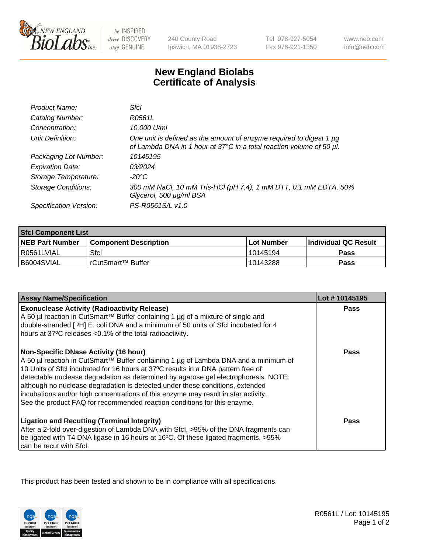

be INSPIRED drive DISCOVERY stay GENUINE

240 County Road Ipswich, MA 01938-2723 Tel 978-927-5054 Fax 978-921-1350

www.neb.com info@neb.com

## **New England Biolabs Certificate of Analysis**

| Product Name:              | Sfcl                                                                                                                                             |
|----------------------------|--------------------------------------------------------------------------------------------------------------------------------------------------|
| Catalog Number:            | R0561L                                                                                                                                           |
| Concentration:             | 10,000 U/ml                                                                                                                                      |
| Unit Definition:           | One unit is defined as the amount of enzyme required to digest 1 $\mu$ g<br>of Lambda DNA in 1 hour at 37°C in a total reaction volume of 50 µl. |
| Packaging Lot Number:      | 10145195                                                                                                                                         |
| <b>Expiration Date:</b>    | 03/2024                                                                                                                                          |
| Storage Temperature:       | -20°C                                                                                                                                            |
| <b>Storage Conditions:</b> | 300 mM NaCl, 10 mM Tris-HCl (pH 7.4), 1 mM DTT, 0.1 mM EDTA, 50%<br>Glycerol, 500 µg/ml BSA                                                      |
| Specification Version:     | PS-R0561S/L v1.0                                                                                                                                 |

| <b>Sfcl Component List</b> |                              |              |                             |  |
|----------------------------|------------------------------|--------------|-----------------------------|--|
| <b>NEB Part Number</b>     | <b>Component Description</b> | l Lot Number | <b>Individual QC Result</b> |  |
| R0561LVIAL                 | Sfcl                         | 10145194     | Pass                        |  |
| B6004SVIAL                 | l rCutSmart™ Buffer          | 10143288     | Pass                        |  |

| <b>Assay Name/Specification</b>                                                                                                                                                                                                                                                                                                                                                                                                                                                                                                                                   | Lot #10145195 |
|-------------------------------------------------------------------------------------------------------------------------------------------------------------------------------------------------------------------------------------------------------------------------------------------------------------------------------------------------------------------------------------------------------------------------------------------------------------------------------------------------------------------------------------------------------------------|---------------|
| <b>Exonuclease Activity (Radioactivity Release)</b><br>A 50 µl reaction in CutSmart™ Buffer containing 1 µg of a mixture of single and                                                                                                                                                                                                                                                                                                                                                                                                                            | <b>Pass</b>   |
| double-stranded [3H] E. coli DNA and a minimum of 50 units of Sfcl incubated for 4<br>hours at 37°C releases <0.1% of the total radioactivity.                                                                                                                                                                                                                                                                                                                                                                                                                    |               |
| <b>Non-Specific DNase Activity (16 hour)</b><br>A 50 µl reaction in CutSmart™ Buffer containing 1 µg of Lambda DNA and a minimum of<br>10 Units of Sfcl incubated for 16 hours at 37°C results in a DNA pattern free of<br>detectable nuclease degradation as determined by agarose gel electrophoresis. NOTE:<br>although no nuclease degradation is detected under these conditions, extended<br>incubations and/or high concentrations of this enzyme may result in star activity.<br>See the product FAQ for recommended reaction conditions for this enzyme. | Pass          |
| <b>Ligation and Recutting (Terminal Integrity)</b><br>After a 2-fold over-digestion of Lambda DNA with Sfcl, >95% of the DNA fragments can<br>be ligated with T4 DNA ligase in 16 hours at 16°C. Of these ligated fragments, >95%<br>can be recut with Sfcl.                                                                                                                                                                                                                                                                                                      | Pass          |

This product has been tested and shown to be in compliance with all specifications.